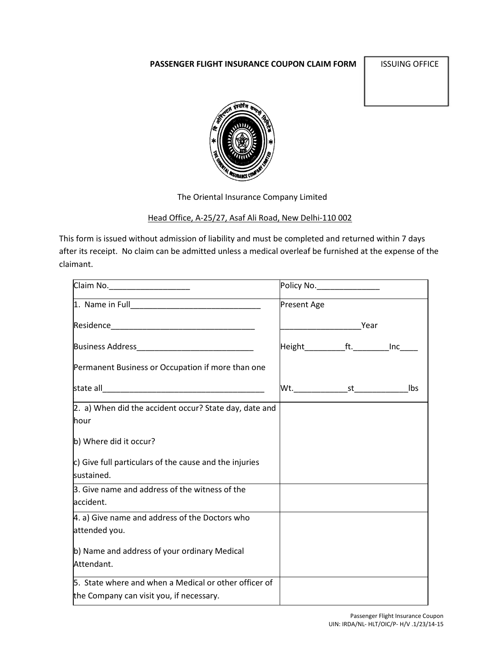# **PASSENGER FLIGHT INSURANCE COUPON CLAIM FORM SESSIONS OFFICE**



The Oriental Insurance Company Limited

## Head Office, A-25/27, Asaf Ali Road, New Delhi-110 002

This form is issued without admission of liability and must be completed and returned within 7 days after its receipt. No claim can be admitted unless a medical overleaf be furnished at the expense of the claimant.

| Claim No. _______________________<br><u> 1980 - Johann Barbara, martin a</u> | Policy No.________________                 |  |
|------------------------------------------------------------------------------|--------------------------------------------|--|
|                                                                              | <b>Present Age</b>                         |  |
|                                                                              |                                            |  |
|                                                                              | Height_____________ft.___________Inc______ |  |
| Permanent Business or Occupation if more than one                            |                                            |  |
|                                                                              |                                            |  |
| 2. a) When did the accident occur? State day, date and                       |                                            |  |
| <b>l</b> hour                                                                |                                            |  |
| b) Where did it occur?                                                       |                                            |  |
| $ c $ Give full particulars of the cause and the injuries                    |                                            |  |
| sustained.                                                                   |                                            |  |
| 3. Give name and address of the witness of the                               |                                            |  |
| accident.                                                                    |                                            |  |
| 4. a) Give name and address of the Doctors who                               |                                            |  |
| attended you.                                                                |                                            |  |
| b) Name and address of your ordinary Medical                                 |                                            |  |
| Attendant.                                                                   |                                            |  |
| 5. State where and when a Medical or other officer of                        |                                            |  |
| the Company can visit you, if necessary.                                     |                                            |  |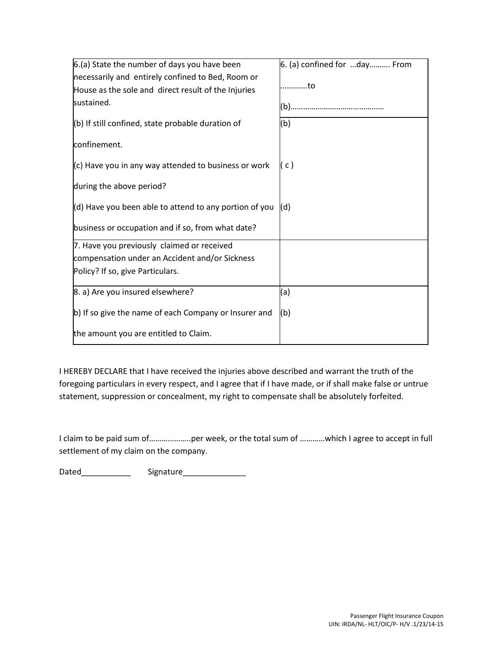| 6.(a) State the number of days you have been           | $6.$ (a) confined for day From |
|--------------------------------------------------------|--------------------------------|
| necessarily and entirely confined to Bed, Room or      |                                |
| House as the sole and direct result of the Injuries    | to                             |
| sustained.                                             |                                |
| (b) If still confined, state probable duration of      | (b)                            |
| confinement.                                           |                                |
| $(c)$ Have you in any way attended to business or work | ( c )                          |
| during the above period?                               |                                |
| (d) Have you been able to attend to any portion of you | (d)                            |
| business or occupation and if so, from what date?      |                                |
| 7. Have you previously claimed or received             |                                |
| compensation under an Accident and/or Sickness         |                                |
| Policy? If so, give Particulars.                       |                                |
| 8. a) Are you insured elsewhere?                       | (a)                            |
| b) If so give the name of each Company or Insurer and  | (b)                            |
| the amount you are entitled to Claim.                  |                                |

I HEREBY DECLARE that I have received the injuries above described and warrant the truth of the foregoing particulars in every respect, and I agree that if I have made, or if shall make false or untrue statement, suppression or concealment, my right to compensate shall be absolutely forfeited.

I claim to be paid sum of………………..per week, or the total sum of …………which I agree to accept in full settlement of my claim on the company.

Dated\_\_\_\_\_\_\_\_\_\_\_ Signature\_\_\_\_\_\_\_\_\_\_\_\_\_\_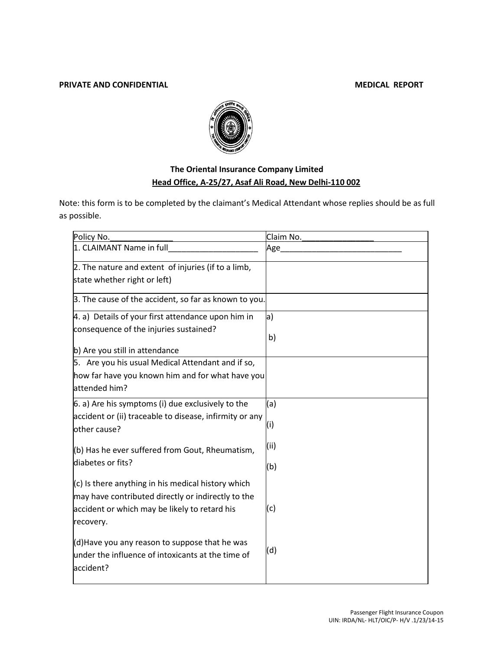### **PRIVATE AND CONFIDENTIAL MEDICAL REPORT**



# **The Oriental Insurance Company Limited Head Office, A-25/27, Asaf Ali Road, New Delhi-110 002**

Note: this form is to be completed by the claimant's Medical Attendant whose replies should be as full as possible.

| Policy No.                                                                                                                                                               | Claim No. |
|--------------------------------------------------------------------------------------------------------------------------------------------------------------------------|-----------|
| 1. CLAIMANT Name in full                                                                                                                                                 | Age_      |
| 2. The nature and extent of injuries (if to a limb,<br>state whether right or left)                                                                                      |           |
| 3. The cause of the accident, so far as known to you.                                                                                                                    |           |
| 4. a) Details of your first attendance upon him in                                                                                                                       | a)        |
| consequence of the injuries sustained?                                                                                                                                   | b)        |
| b) Are you still in attendance                                                                                                                                           |           |
| 5. Are you his usual Medical Attendant and if so,                                                                                                                        |           |
| how far have you known him and for what have you                                                                                                                         |           |
| attended him?                                                                                                                                                            |           |
| 6. a) Are his symptoms (i) due exclusively to the                                                                                                                        | (a)       |
| accident or (ii) traceable to disease, infirmity or any<br>other cause?                                                                                                  | (i)       |
| (b) Has he ever suffered from Gout, Rheumatism,                                                                                                                          | (ii)      |
| diabetes or fits?                                                                                                                                                        | (b)       |
| $(c)$ is there anything in his medical history which<br>may have contributed directly or indirectly to the<br>accident or which may be likely to retard his<br>recovery. | (c)       |
| $(d)$ Have you any reason to suppose that he was<br>under the influence of intoxicants at the time of<br>accident?                                                       | (d)       |